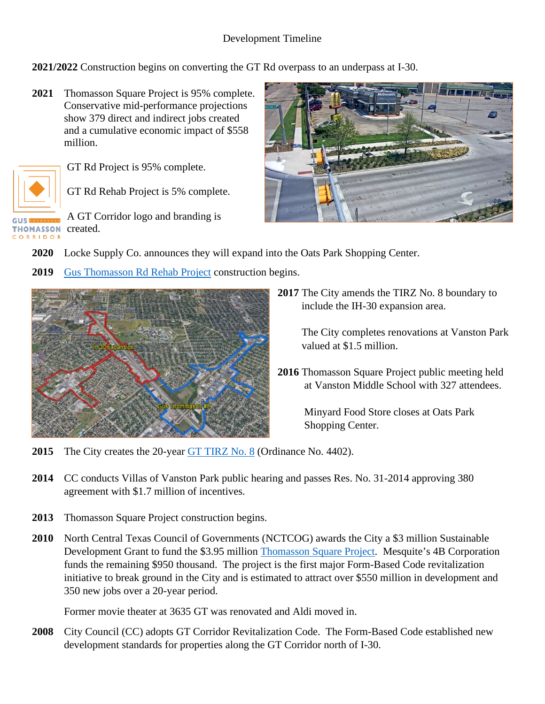## Development Timeline

**2021/2022** Construction begins on converting the GT Rd overpass to an underpass at I-30.

**2021** Thomasson Square Project is 95% complete. Conservative mid-performance projections show 379 direct and indirect jobs created and a cumulative economic impact of \$558 million.



GT Rd Project is 95% complete.

GT Rd Rehab Project is 5% complete.

A GT Corridor logo and branding is **THOMASSON** created. CORRIDOR



- **2020** Locke Supply Co. announces they will expand into the Oats Park Shopping Center.
- **2019** [Gus Thomasson Rd Rehab Project](https://www.cityofmesquite.com/2001/City-Construction-Projects) construction begins.



**2017** The City amends the TIRZ No. 8 boundary to include the IH-30 expansion area.

> The City completes renovations at Vanston Park valued at \$1.5 million.

**2016** Thomasson Square Project public meeting held at Vanston Middle School with 327 attendees.

> Minyard Food Store closes at Oats Park Shopping Center.

- **2015** The City creates the 20-year [GT TIRZ No. 8](https://mesquiteecodev.com/locate/tirz-districts) (Ordinance No. 4402).
- **2014** CC conducts Villas of Vanston Park public hearing and passes Res. No. 31-2014 approving 380 agreement with \$1.7 million of incentives.
- **2013** Thomasson Square Project construction begins.
- **2010** North Central Texas Council of Governments (NCTCOG) awards the City a \$3 million Sustainable Development Grant to fund the \$3.95 million [Thomasson Square Project.](https://www.cityofmesquite.com/1676/Thomasson-Square) Mesquite's 4B Corporation funds the remaining \$950 thousand. The project is the first major Form-Based Code revitalization initiative to break ground in the City and is estimated to attract over \$550 million in development and 350 new jobs over a 20-year period.

Former movie theater at 3635 GT was renovated and Aldi moved in.

**2008** City Council (CC) adopts GT Corridor Revitalization Code. The Form-Based Code established new development standards for properties along the GT Corridor north of I-30.